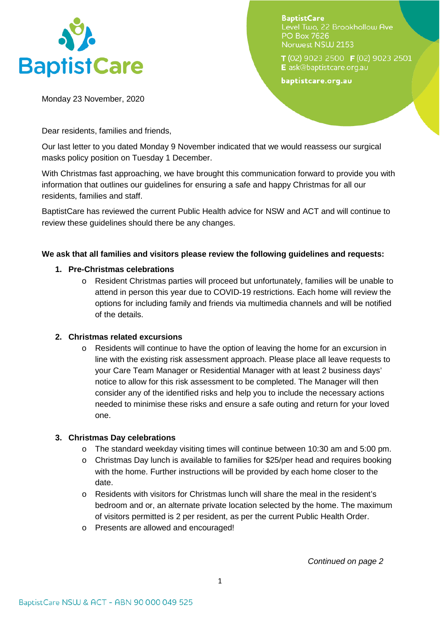

**BaptistCare** Level Two. 22 Brookhollow Ave **PO Box 7626** Norwest NSW 2153

T(02) 9023 2500 F(02) 9023 2501 E ask@baptistcare.org.au

baptistcare.org.au

Monday 23 November, 2020

Dear residents, families and friends,

Our last letter to you dated Monday 9 November indicated that we would reassess our surgical masks policy position on Tuesday 1 December.

With Christmas fast approaching, we have brought this communication forward to provide you with information that outlines our guidelines for ensuring a safe and happy Christmas for all our residents, families and staff.

BaptistCare has reviewed the current Public Health advice for NSW and ACT and will continue to review these guidelines should there be any changes.

# **We ask that all families and visitors please review the following guidelines and requests:**

### **1. Pre-Christmas celebrations**

o Resident Christmas parties will proceed but unfortunately, families will be unable to attend in person this year due to COVID-19 restrictions. Each home will review the options for including family and friends via multimedia channels and will be notified of the details.

#### **2. Christmas related excursions**

o Residents will continue to have the option of leaving the home for an excursion in line with the existing risk assessment approach. Please place all leave requests to your Care Team Manager or Residential Manager with at least 2 business days' notice to allow for this risk assessment to be completed. The Manager will then consider any of the identified risks and help you to include the necessary actions needed to minimise these risks and ensure a safe outing and return for your loved one.

# **3. Christmas Day celebrations**

- $\circ$  The standard weekday visiting times will continue between 10:30 am and 5:00 pm.
- $\circ$  Christmas Day lunch is available to families for \$25/per head and requires booking with the home. Further instructions will be provided by each home closer to the date.
- $\circ$  Residents with visitors for Christmas lunch will share the meal in the resident's bedroom and or, an alternate private location selected by the home. The maximum of visitors permitted is 2 per resident, as per the current Public Health Order.
- o Presents are allowed and encouraged!